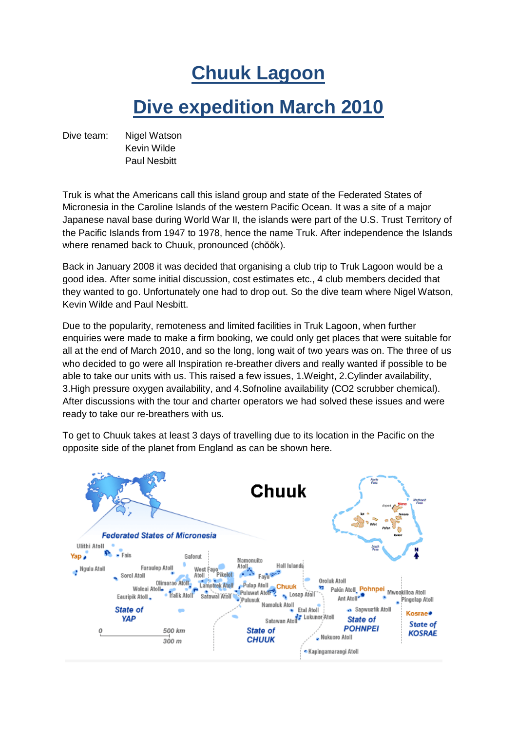## **Chuuk Lagoon**

## **Dive expedition March 2010**

Dive team: Nigel Watson Kevin Wilde Paul Nesbitt

Truk is what the Americans call this island group and state of the Federated States of Micronesia in the Caroline Islands of the western Pacific Ocean. It was a site of a major Japanese naval base during World War II, the islands were part of the U.S. Trust Territory of the Pacific Islands from 1947 to 1978, hence the name Truk. After independence the Islands where renamed back to Chuuk, pronounced (chŏŏk).

Back in January 2008 it was decided that organising a club trip to Truk Lagoon would be a good idea. After some initial discussion, cost estimates etc., 4 club members decided that they wanted to go. Unfortunately one had to drop out. So the dive team where Nigel Watson, Kevin Wilde and Paul Nesbitt.

Due to the popularity, remoteness and limited facilities in Truk Lagoon, when further enquiries were made to make a firm booking, we could only get places that were suitable for all at the end of March 2010, and so the long, long wait of two years was on. The three of us who decided to go were all Inspiration re-breather divers and really wanted if possible to be able to take our units with us. This raised a few issues, 1.Weight, 2.Cylinder availability, 3.High pressure oxygen availability, and 4.Sofnoline availability (CO2 scrubber chemical). After discussions with the tour and charter operators we had solved these issues and were ready to take our re-breathers with us.

To get to Chuuk takes at least 3 days of travelling due to its location in the Pacific on the opposite side of the planet from England as can be shown here.

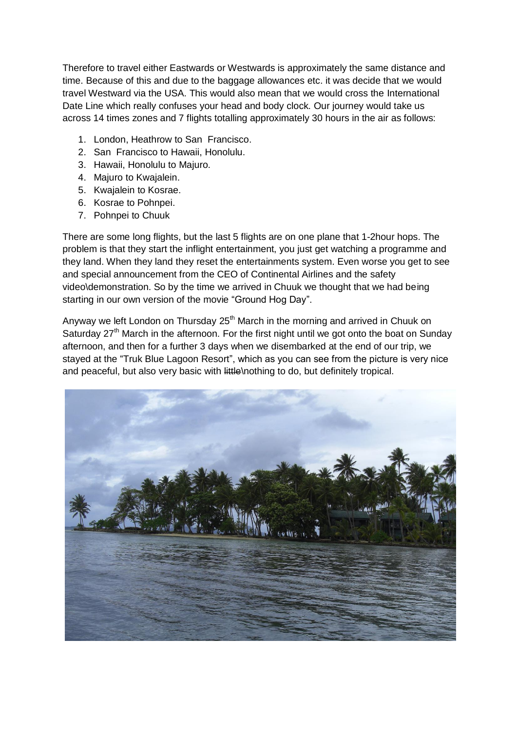Therefore to travel either Eastwards or Westwards is approximately the same distance and time. Because of this and due to the baggage allowances etc. it was decide that we would travel Westward via the USA. This would also mean that we would cross the International Date Line which really confuses your head and body clock. Our journey would take us across 14 times zones and 7 flights totalling approximately 30 hours in the air as follows:

- 1. London, Heathrow to San Francisco.
- 2. San Francisco to Hawaii, Honolulu.
- 3. Hawaii, Honolulu to Majuro.
- 4. Majuro to Kwajalein.
- 5. Kwajalein to Kosrae.
- 6. Kosrae to Pohnpei.
- 7. Pohnpei to Chuuk

There are some long flights, but the last 5 flights are on one plane that 1-2hour hops. The problem is that they start the inflight entertainment, you just get watching a programme and they land. When they land they reset the entertainments system. Even worse you get to see and special announcement from the CEO of Continental Airlines and the safety video\demonstration. So by the time we arrived in Chuuk we thought that we had being starting in our own version of the movie "Ground Hog Day".

Anyway we left London on Thursday  $25<sup>th</sup>$  March in the morning and arrived in Chuuk on Saturday 27<sup>th</sup> March in the afternoon. For the first night until we got onto the boat on Sunday afternoon, and then for a further 3 days when we disembarked at the end of our trip, we stayed at the "Truk Blue Lagoon Resort", which as you can see from the picture is very nice and peaceful, but also very basic with little\nothing to do, but definitely tropical.

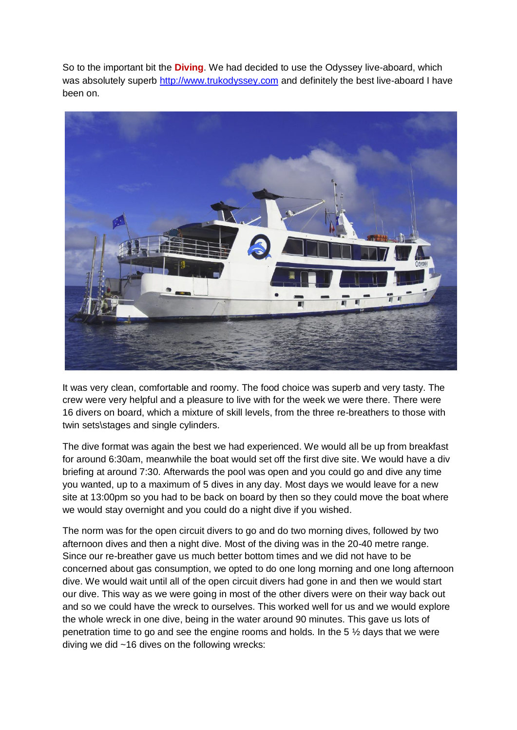So to the important bit the **Diving**. We had decided to use the Odyssey live-aboard, which was absolutely superb [http://www.trukodyssey.com](http://www.trukodyssey.com/) and definitely the best live-aboard I have been on.



It was very clean, comfortable and roomy. The food choice was superb and very tasty. The crew were very helpful and a pleasure to live with for the week we were there. There were 16 divers on board, which a mixture of skill levels, from the three re-breathers to those with twin sets\stages and single cylinders.

The dive format was again the best we had experienced. We would all be up from breakfast for around 6:30am, meanwhile the boat would set off the first dive site. We would have a div briefing at around 7:30. Afterwards the pool was open and you could go and dive any time you wanted, up to a maximum of 5 dives in any day. Most days we would leave for a new site at 13:00pm so you had to be back on board by then so they could move the boat where we would stay overnight and you could do a night dive if you wished.

The norm was for the open circuit divers to go and do two morning dives, followed by two afternoon dives and then a night dive. Most of the diving was in the 20-40 metre range. Since our re-breather gave us much better bottom times and we did not have to be concerned about gas consumption, we opted to do one long morning and one long afternoon dive. We would wait until all of the open circuit divers had gone in and then we would start our dive. This way as we were going in most of the other divers were on their way back out and so we could have the wreck to ourselves. This worked well for us and we would explore the whole wreck in one dive, being in the water around 90 minutes. This gave us lots of penetration time to go and see the engine rooms and holds. In the 5  $\frac{1}{2}$  days that we were diving we did ~16 dives on the following wrecks: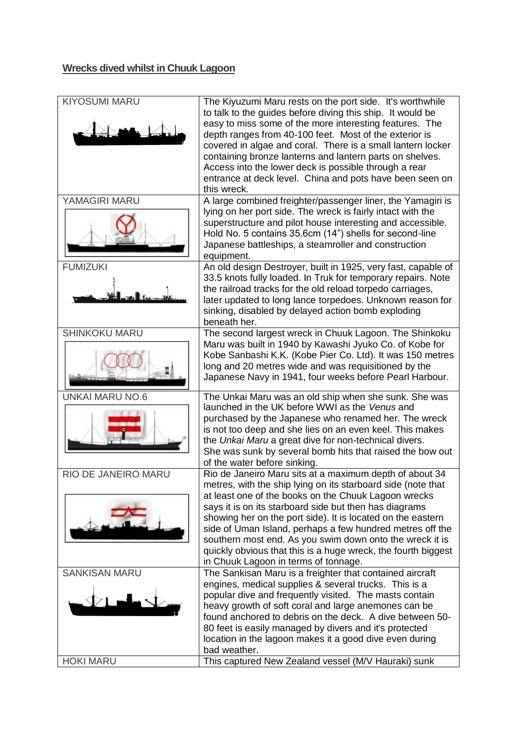## **Wrecks dived whilst in Chuuk Lagoon**

| <b>KIYOSUMI MARU</b>       | The Kiyuzumi Maru rests on the port side. It's worthwhile<br>to talk to the guides before diving this ship. It would be<br>easy to miss some of the more interesting features. The<br>depth ranges from 40-100 feet. Most of the exterior is<br>covered in algae and coral. There is a small lantern locker<br>containing bronze lanterns and lantern parts on shelves.<br>Access into the lower deck is possible through a rear<br>entrance at deck level. China and pots have been seen on<br>this wreck. |
|----------------------------|-------------------------------------------------------------------------------------------------------------------------------------------------------------------------------------------------------------------------------------------------------------------------------------------------------------------------------------------------------------------------------------------------------------------------------------------------------------------------------------------------------------|
| YAMAGIRI MARU              | A large combined freighter/passenger liner, the Yamagiri is                                                                                                                                                                                                                                                                                                                                                                                                                                                 |
|                            | lying on her port side. The wreck is fairly intact with the<br>superstructure and pilot house interesting and accessible.<br>Hold No. 5 contains 35.6cm (14") shells for second-line<br>Japanese battleships, a steamroller and construction<br>equipment.                                                                                                                                                                                                                                                  |
| <b>FUMIZUKI</b>            | An old design Destroyer, built in 1925, very fast, capable of<br>33.5 knots fully loaded. In Truk for temporary repairs. Note<br>the railroad tracks for the old reload torpedo carriages,<br>later updated to long lance torpedoes. Unknown reason for<br>sinking, disabled by delayed action bomb exploding<br>beneath her.                                                                                                                                                                               |
| <b>SHINKOKU MARU</b>       | The second largest wreck in Chuuk Lagoon. The Shinkoku                                                                                                                                                                                                                                                                                                                                                                                                                                                      |
|                            | Maru was built in 1940 by Kawashi Jyuko Co. of Kobe for<br>Kobe Sanbashi K.K. (Kobe Pier Co. Ltd). It was 150 metres<br>long and 20 metres wide and was requisitioned by the<br>Japanese Navy in 1941, four weeks before Pearl Harbour.                                                                                                                                                                                                                                                                     |
| <b>UNKAI MARU NO.6</b>     | The Unkai Maru was an old ship when she sunk. She was                                                                                                                                                                                                                                                                                                                                                                                                                                                       |
|                            | launched in the UK before WWI as the Venus and<br>purchased by the Japanese who renamed her. The wreck<br>is not too deep and she lies on an even keel. This makes<br>the Unkai Maru a great dive for non-technical divers.<br>She was sunk by several bomb hits that raised the bow out<br>of the water before sinking.                                                                                                                                                                                    |
| <b>RIO DE JANEIRO MARU</b> | Rio de Janeiro Maru sits at a maximum depth of about 34                                                                                                                                                                                                                                                                                                                                                                                                                                                     |
|                            | metres, with the ship lying on its starboard side (note that<br>at least one of the books on the Chuuk Lagoon wrecks<br>says it is on its starboard side but then has diagrams<br>showing her on the port side). It is located on the eastern<br>side of Uman Island, perhaps a few hundred metres off the<br>southern most end. As you swim down onto the wreck it is<br>quickly obvious that this is a huge wreck, the fourth biggest<br>in Chuuk Lagoon in terms of tonnage.                             |
| <b>SANKISAN MARU</b>       | The Sankisan Maru is a freighter that contained aircraft                                                                                                                                                                                                                                                                                                                                                                                                                                                    |
|                            | engines, medical supplies & several trucks. This is a<br>popular dive and frequently visited. The masts contain<br>heavy growth of soft coral and large anemones can be<br>found anchored to debris on the deck. A dive between 50-<br>80 feet is easily managed by divers and it's protected<br>location in the lagoon makes it a good dive even during<br>bad weather.                                                                                                                                    |
| <b>HOKI MARU</b>           | This captured New Zealand vessel (M/V Hauraki) sunk                                                                                                                                                                                                                                                                                                                                                                                                                                                         |
|                            |                                                                                                                                                                                                                                                                                                                                                                                                                                                                                                             |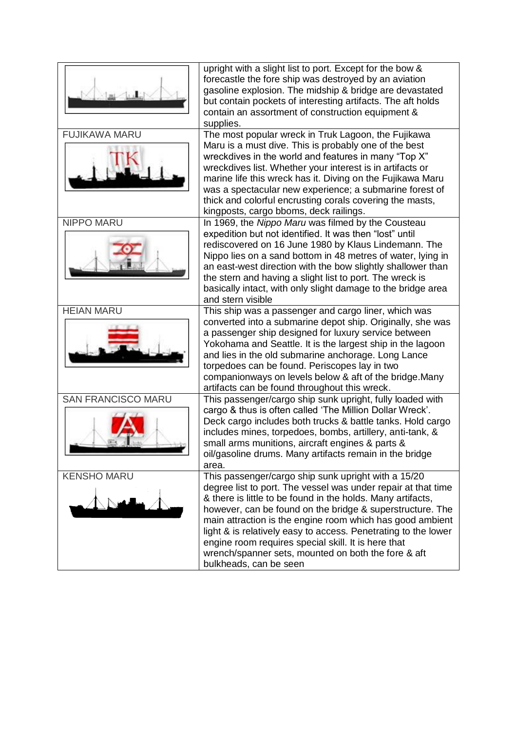|                           | upright with a slight list to port. Except for the bow &<br>forecastle the fore ship was destroyed by an aviation<br>gasoline explosion. The midship & bridge are devastated<br>but contain pockets of interesting artifacts. The aft holds<br>contain an assortment of construction equipment &<br>supplies.                                                                                                                                                                                                           |
|---------------------------|-------------------------------------------------------------------------------------------------------------------------------------------------------------------------------------------------------------------------------------------------------------------------------------------------------------------------------------------------------------------------------------------------------------------------------------------------------------------------------------------------------------------------|
| <b>FUJIKAWA MARU</b>      | The most popular wreck in Truk Lagoon, the Fujikawa<br>Maru is a must dive. This is probably one of the best<br>wreckdives in the world and features in many "Top X"<br>wreckdives list. Whether your interest is in artifacts or<br>marine life this wreck has it. Diving on the Fujikawa Maru<br>was a spectacular new experience; a submarine forest of<br>thick and colorful encrusting corals covering the masts,<br>kingposts, cargo bboms, deck railings.                                                        |
| <b>NIPPO MARU</b>         | In 1969, the Nippo Maru was filmed by the Cousteau<br>expedition but not identified. It was then "lost" until<br>rediscovered on 16 June 1980 by Klaus Lindemann. The<br>Nippo lies on a sand bottom in 48 metres of water, lying in<br>an east-west direction with the bow slightly shallower than<br>the stern and having a slight list to port. The wreck is<br>basically intact, with only slight damage to the bridge area<br>and stern visible                                                                    |
| <b>HEIAN MARU</b>         | This ship was a passenger and cargo liner, which was<br>converted into a submarine depot ship. Originally, she was<br>a passenger ship designed for luxury service between<br>Yokohama and Seattle. It is the largest ship in the lagoon<br>and lies in the old submarine anchorage. Long Lance<br>torpedoes can be found. Periscopes lay in two<br>companionways on levels below & aft of the bridge. Many<br>artifacts can be found throughout this wreck.                                                            |
| <b>SAN FRANCISCO MARU</b> | This passenger/cargo ship sunk upright, fully loaded with<br>cargo & thus is often called 'The Million Dollar Wreck'.<br>Deck cargo includes both trucks & battle tanks. Hold cargo<br>includes mines, torpedoes, bombs, artillery, anti-tank, &<br>small arms munitions, aircraft engines & parts &<br>oil/gasoline drums. Many artifacts remain in the bridge<br>area.                                                                                                                                                |
| <b>KENSHO MARU</b>        | This passenger/cargo ship sunk upright with a 15/20<br>degree list to port. The vessel was under repair at that time<br>& there is little to be found in the holds. Many artifacts,<br>however, can be found on the bridge & superstructure. The<br>main attraction is the engine room which has good ambient<br>light & is relatively easy to access. Penetrating to the lower<br>engine room requires special skill. It is here that<br>wrench/spanner sets, mounted on both the fore & aft<br>bulkheads, can be seen |